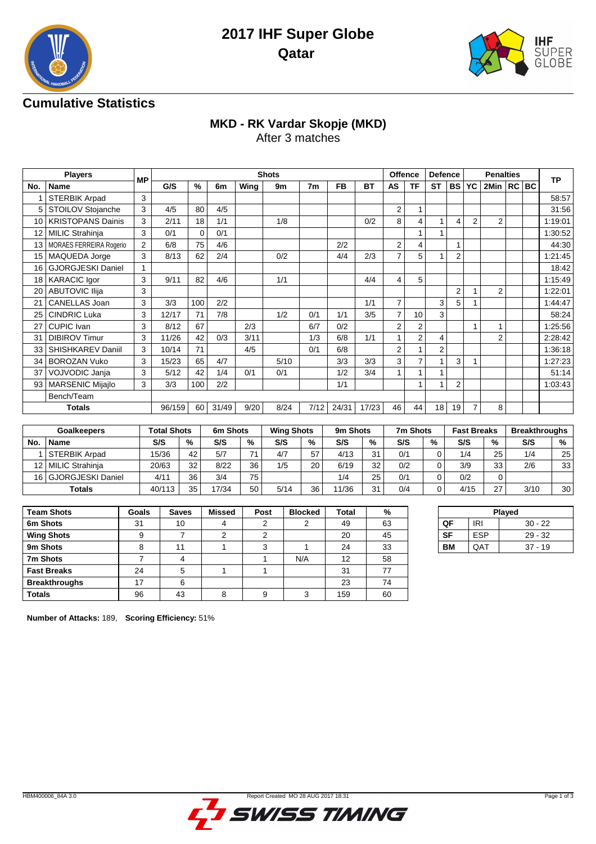



### **Cumulative Statistics**

## **MKD - RK Vardar Skopje (MKD)**

After 3 matches

|                 | <b>Players</b>               | <b>MP</b>      |        |          |                |      | <b>Shots</b> |      |           |       | <b>Offence</b> |                | <b>Defence</b>  |                 | <b>Penalties</b> |                |  |  | <b>TP</b> |
|-----------------|------------------------------|----------------|--------|----------|----------------|------|--------------|------|-----------|-------|----------------|----------------|-----------------|-----------------|------------------|----------------|--|--|-----------|
| No.             | Name                         |                | G/S    | %        | 6 <sub>m</sub> | Wing | 9m           | 7m   | <b>FB</b> | ВT    | <b>AS</b>      | <b>TF</b>      | <b>ST</b>       | <b>BS YC</b>    |                  | 2Min   RC   BC |  |  |           |
|                 | <b>STERBIK Arpad</b>         | 3              |        |          |                |      |              |      |           |       |                |                |                 |                 |                  |                |  |  | 58:57     |
|                 | STOILOV Stojanche            | 3              | 4/5    | 80       | 4/5            |      |              |      |           |       | $\overline{2}$ |                |                 |                 |                  |                |  |  | 31:56     |
|                 | 10   KRISTOPANS Dainis       | 3              | 2/11   | 18       | 1/1            |      | 1/8          |      |           | 0/2   | 8              | 4              |                 | $\vert 4 \vert$ | $\overline{2}$   | $\overline{2}$ |  |  | 1:19:01   |
| 12 <sub>1</sub> | <b>MILIC Strahinja</b>       | 3              | 0/1    | $\Omega$ | 0/1            |      |              |      |           |       |                |                |                 |                 |                  |                |  |  | 1:30:52   |
|                 | 13   MORAES FERREIRA Rogerio | $\overline{2}$ | 6/8    | 75       | 4/6            |      |              |      | 2/2       |       | 2              | 4              |                 | 1               |                  |                |  |  | 44:30     |
|                 | 15   MAQUEDA Jorge           | 3              | 8/13   | 62       | 2/4            |      | 0/2          |      | 4/4       | 2/3   | $\overline{7}$ | 5              |                 | $\overline{2}$  |                  |                |  |  | 1:21:45   |
| 16 <sup>1</sup> | <b>GJORGJESKI Daniel</b>     | 1              |        |          |                |      |              |      |           |       |                |                |                 |                 |                  |                |  |  | 18:42     |
|                 | 18   KARACIC Igor            | 3              | 9/11   | 82       | 4/6            |      | 1/1          |      |           | 4/4   | 4              | 5              |                 |                 |                  |                |  |  | 1:15:49   |
| 20 <sub>1</sub> | <b>ABUTOVIC Ilija</b>        | 3              |        |          |                |      |              |      |           |       |                |                |                 | 2               |                  | $\overline{2}$ |  |  | 1:22:01   |
|                 | <b>CANELLAS Joan</b>         | 3              | 3/3    | 100      | 2/2            |      |              |      |           | 1/1   | $\overline{7}$ |                | 3               | 5               |                  |                |  |  | 1:44:47   |
| 25              | <b>CINDRIC Luka</b>          | 3              | 12/17  | 71       | 7/8            |      | 1/2          | 0/1  | 1/1       | 3/5   | 7              | 10             | 3               |                 |                  |                |  |  | 58:24     |
| 27              | <b>CUPIC</b> Ivan            | 3              | 8/12   | 67       |                | 2/3  |              | 6/7  | 0/2       |       | 2              | $\overline{2}$ |                 |                 | 1                | 1              |  |  | 1:25:56   |
| 31              | <b>DIBIROV Timur</b>         | 3              | 11/26  | 42       | 0/3            | 3/11 |              | 1/3  | 6/8       | 1/1   |                | $\overline{2}$ | 4               |                 |                  | 2              |  |  | 2:28:42   |
| 33              | SHISHKAREV Daniil            | 3              | 10/14  | 71       |                | 4/5  |              | 0/1  | 6/8       |       | $\overline{2}$ |                | 2               |                 |                  |                |  |  | 1:36:18   |
| 34              | <b>BOROZAN Vuko</b>          | 3              | 15/23  | 65       | 4/7            |      | 5/10         |      | 3/3       | 3/3   | 3              | 7              |                 | 3               |                  |                |  |  | 1:27:23   |
| 37              | VOJVODIC Janja               | 3              | 5/12   | 42       | 1/4            | 0/1  | 0/1          |      | 1/2       | 3/4   |                |                |                 |                 |                  |                |  |  | 51:14     |
|                 | 93   MARSENIC Mijajlo        | 3              | 3/3    | 100      | 2/2            |      |              |      | 1/1       |       |                |                |                 | 2               |                  |                |  |  | 1:03:43   |
|                 | Bench/Team                   |                |        |          |                |      |              |      |           |       |                |                |                 |                 |                  |                |  |  |           |
|                 | <b>Totals</b>                |                | 96/159 | 60       | 31/49          | 9/20 | 8/24         | 7/12 | 24/31     | 17/23 | 46             | 44             | 18 <sup>1</sup> | 19              | $\overline{7}$   | 8              |  |  |           |

| <b>Goalkeepers</b> |                      | Total Shots |    | 6m Shots |    | <b>Wing Shots</b> |      | 9m Shots |         | 7m Shots |               | <b>Fast Breaks</b> |    | <b>Breakthroughs</b> |    |
|--------------------|----------------------|-------------|----|----------|----|-------------------|------|----------|---------|----------|---------------|--------------------|----|----------------------|----|
| No.                | <b>Name</b>          | S/S         | %  | S/S      | %  | S/S               | $\%$ | S/S      | %       | S/S      | $\frac{0}{0}$ | S/S                | %  | S/S                  | %  |
|                    | <b>STERBIK Arpad</b> | 15/36       | 42 | 5/7      | 74 | 4/7               | 57   | 4/13     | 21      | 0/1      | 0             | 1/4                | 25 | 1/4                  | 25 |
|                    | 12   MILIC Strahinja | 20/63       | 32 | 8/22     | 36 | 1/5               | 20   | 6/19     | 32      | 0/2      | ۵             | 3/9                | 33 | 2/6                  | 33 |
| 16                 | l GJORGJESKI Daniel  | 4/11        | 36 | 3/4      | 75 |                   |      | 1/4      | 25      | 0/1      | 0             | 0/2                |    |                      |    |
|                    | <b>Totals</b>        | 40/113      | 35 | 17/34    | 50 | 5/14              | 36   | 1/36     | 24<br>ື | 0/4      | ۵             | 4/15               | 27 | 3/10                 | 30 |

| <b>Team Shots</b>    | Goals | <b>Saves</b> | <b>Missed</b> | Post | <b>Blocked</b> | <b>Total</b> | %  |
|----------------------|-------|--------------|---------------|------|----------------|--------------|----|
| 6m Shots             | 31    | 10           |               | ົ    |                | 49           | 63 |
| <b>Wing Shots</b>    | 9     |              | ◠             | າ    |                | 20           | 45 |
| 9m Shots             | 8     | 11           |               | 3    |                | 24           | 33 |
| 7m Shots             |       |              |               |      | N/A            | 12           | 58 |
| <b>Fast Breaks</b>   | 24    | 5            |               |      |                | 31           | 77 |
| <b>Breakthroughs</b> | 17    | 6            |               |      |                | 23           | 74 |
| <b>Totals</b>        | 96    | 43           | 8             | 9    | ົ              | 159          | 60 |

|           |            | Played    |
|-----------|------------|-----------|
| QF        | IRI        | $30 - 22$ |
| <b>SF</b> | <b>FSP</b> | $29 - 32$ |
| BМ        | QAT        | $37 - 19$ |

**Number of Attacks:** 189, **Scoring Efficiency:** 51%

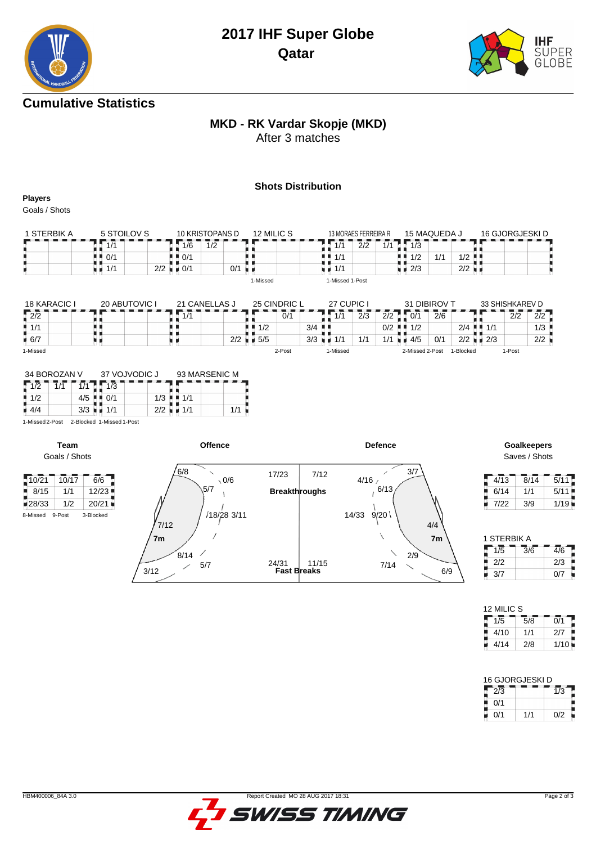

### **Cumulative Statistics**

# **MKD - RK Vardar Skopje (MKD)**

After 3 matches

#### **Shots Distribution**

**Players**

Goals / Shots

| 1 STERBIK A | 5 STOILOV S | 10 KRISTOPANS D           | 12 MILIC S | 13 MORAES FERREIRA R | 15 MAQUEDA J                       | 16 GJORGJESKI D      |
|-------------|-------------|---------------------------|------------|----------------------|------------------------------------|----------------------|
|             |             | 1/6<br>1/2                |            | 2/2<br>1/1<br>1/1    | 1/2                                |                      |
|             | 0/1<br>. .  | $\blacksquare$ 0/1        |            | ∎ ∎ 1/1              | 1/2<br>$\overline{11}$<br>. .<br>. | $1/2$ .              |
|             | 1/1         | 2/2<br>$\blacksquare$ 0/1 | 0/1        | 1/1                  | 2/3                                | $2/2$ $\blacksquare$ |
|             |             |                           | 1-Missed   | 1-Missed 1-Post      |                                    |                      |

| 18 KARACIC I       | <b>20 ABUTOVIC I</b> | 21 CANELLAS J |                          | 25 CINDRIC L | 27 CUPIC I                  |     |                 | 31 DIBIROV T | 33 SHISHKAREV D            |        |                                |
|--------------------|----------------------|---------------|--------------------------|--------------|-----------------------------|-----|-----------------|--------------|----------------------------|--------|--------------------------------|
| $\frac{1}{2}$ 2/2  |                      | 1/1           |                          | 0/1          | 1/1                         | 2/3 | 0/1<br>2/2      | 2/6          |                            | 2/2    | 2/2                            |
| $\blacksquare$ 1/1 |                      |               | $\blacksquare$ 1/2       |              | $3/4$ $\blacksquare$        |     | 0/2<br>1/2      | 2/4          | $\blacksquare$ 1/1         |        | $1/3$ $\overline{\phantom{0}}$ |
| 6/7                |                      |               | $2/2$ $\blacksquare$ 5/5 |              | $3/3$ $\blacksquare$<br>1/1 | 1/1 | 4/5<br>1/1      | 0/1          | $2/2$ $\blacksquare$ $2/3$ |        | 2/2                            |
| 1-Missed           |                      |               |                          | 2-Post       | 1-Missed                    |     | 2-Missed 2-Post | 1-Blocked    |                            | 1-Post |                                |

| 34 BOROZAN V |     | 37 VOJVODIC J |     | 93 MARSENIC M |  |
|--------------|-----|---------------|-----|---------------|--|
|              |     | 1/3           |     |               |  |
| 1/2          | 4/5 |               | 1/3 |               |  |
| 4/4          | 3/3 | 1/1           | 2/2 | 1/1           |  |

1-Missed 2-Post 2-Blocked 1-Missed 1-Post

**Team**



Saves / Shots

| 4/13 | 8/14 | 5/11 |
|------|------|------|
| 6/14 | 1/1  | 5/11 |
| 7/22 | 3/9  | 1/19 |

| 1 STERBIK A |     |     |  |  |  |  |  |  |  |  |  |
|-------------|-----|-----|--|--|--|--|--|--|--|--|--|
| 1/5         | 3/6 | 4/6 |  |  |  |  |  |  |  |  |  |
| 2/2         |     | 2/3 |  |  |  |  |  |  |  |  |  |
| 3/7         |     | በ/7 |  |  |  |  |  |  |  |  |  |

| 12 MILIC S |     |      |  |  |  |  |  |  |  |  |  |  |
|------------|-----|------|--|--|--|--|--|--|--|--|--|--|
| 1/5        | 5/8 | 0/1  |  |  |  |  |  |  |  |  |  |  |
| 4/10       | 1/1 | 2/7  |  |  |  |  |  |  |  |  |  |  |
| 4/14       | 2/8 | 1/10 |  |  |  |  |  |  |  |  |  |  |

| 16 GJORGJESKI D |     |     |  |  |  |  |  |  |  |  |
|-----------------|-----|-----|--|--|--|--|--|--|--|--|
| 2/3             |     | 1/3 |  |  |  |  |  |  |  |  |
| 0/1             |     |     |  |  |  |  |  |  |  |  |
| በ/1             | 1/1 | በ/2 |  |  |  |  |  |  |  |  |